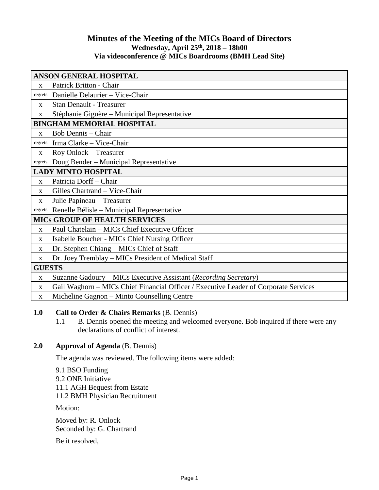# **Minutes of the Meeting of the MICs Board of Directors Wednesday, April 25th, 2018 – 18h00 Via videoconference @ MICs Boardrooms (BMH Lead Site)**

| <b>ANSON GENERAL HOSPITAL</b>        |                                                                                      |
|--------------------------------------|--------------------------------------------------------------------------------------|
| X                                    | Patrick Britton - Chair                                                              |
| regrets                              | Danielle Delaurier - Vice-Chair                                                      |
| X                                    | <b>Stan Denault - Treasurer</b>                                                      |
| X                                    | Stéphanie Giguère – Municipal Representative                                         |
| <b>BINGHAM MEMORIAL HOSPITAL</b>     |                                                                                      |
| $\mathbf X$                          | <b>Bob Dennis</b> - Chair                                                            |
| regrets                              | Irma Clarke - Vice-Chair                                                             |
| X                                    | Roy Onlock - Treasurer                                                               |
| regrets                              | Doug Bender - Municipal Representative                                               |
| <b>LADY MINTO HOSPITAL</b>           |                                                                                      |
| $\mathbf{X}$                         | Patricia Dorff-Chair                                                                 |
| $\mathbf{x}$                         | Gilles Chartrand - Vice-Chair                                                        |
| X                                    | Julie Papineau - Treasurer                                                           |
| regrets                              | Renelle Bélisle – Municipal Representative                                           |
| <b>MICS GROUP OF HEALTH SERVICES</b> |                                                                                      |
| X                                    | Paul Chatelain - MICs Chief Executive Officer                                        |
| X                                    | Isabelle Boucher - MICs Chief Nursing Officer                                        |
| X                                    | Dr. Stephen Chiang – MICs Chief of Staff                                             |
| X                                    | Dr. Joey Tremblay – MICs President of Medical Staff                                  |
| <b>GUESTS</b>                        |                                                                                      |
| $\mathbf X$                          | Suzanne Gadoury – MICs Executive Assistant (Recording Secretary)                     |
| X                                    | Gail Waghorn - MICs Chief Financial Officer / Executive Leader of Corporate Services |
| X                                    | Micheline Gagnon - Minto Counselling Centre                                          |

# **1.0 Call to Order & Chairs Remarks** (B. Dennis)

1.1 B. Dennis opened the meeting and welcomed everyone. Bob inquired if there were any declarations of conflict of interest.

# **2.0 Approval of Agenda** (B. Dennis)

The agenda was reviewed. The following items were added:

9.1 BSO Funding 9.2 ONE Initiative 11.1 AGH Bequest from Estate 11.2 BMH Physician Recruitment

Motion:

Moved by: R. Onlock Seconded by: G. Chartrand

Be it resolved,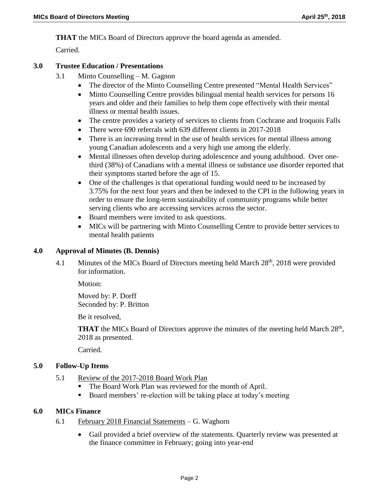**THAT** the MICs Board of Directors approve the board agenda as amended.

Carried.

# **3.0 Trustee Education / Presentations**

- 3.1 Minto Counselling M. Gagnon
	- The director of the Minto Counselling Centre presented "Mental Health Services"
	- Minto Counselling Centre provides bilingual mental health services for persons 16 years and older and their families to help them cope effectively with their mental illness or mental health issues.
	- The centre provides a variety of services to clients from Cochrane and Iroquois Falls
	- There were 690 referrals with 639 different clients in 2017-2018
	- There is an increasing trend in the use of health services for mental illness among young Canadian adolescents and a very high use among the elderly.
	- Mental illnesses often develop during adolescence and young adulthood. Over onethird (38%) of Canadians with a mental illness or substance use disorder reported that their symptoms started before the age of 15.
	- One of the challenges is that operational funding would need to be increased by 3.75% for the next four years and then be indexed to the CPI in the following years in order to ensure the long-term sustainability of community programs while better serving clients who are accessing services across the sector.
	- Board members were invited to ask questions.
	- MICs will be partnering with Minto Counselling Centre to provide better services to mental health patients

# **4.0 Approval of Minutes (B. Dennis)**

4.1 Minutes of the MICs Board of Directors meeting held March 28<sup>th</sup>, 2018 were provided for information.

Motion:

Moved by: P. Dorff Seconded by: P. Britton

Be it resolved,

**THAT** the MICs Board of Directors approve the minutes of the meeting held March  $28<sup>th</sup>$ , 2018 as presented.

Carried.

# **5.0 Follow-Up Items**

- 5.1 Review of the 2017-2018 Board Work Plan
	- The Board Work Plan was reviewed for the month of April.
	- Board members' re-election will be taking place at today's meeting

### **6.0 MICs Finance**

- 6.1 February 2018 Financial Statements G. Waghorn
	- Gail provided a brief overview of the statements. Quarterly review was presented at the finance committee in February; going into year-end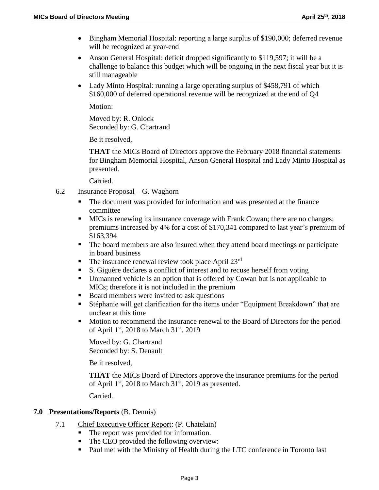- Bingham Memorial Hospital: reporting a large surplus of \$190,000; deferred revenue will be recognized at year-end
- Anson General Hospital: deficit dropped significantly to \$119,597; it will be a challenge to balance this budget which will be ongoing in the next fiscal year but it is still manageable
- Lady Minto Hospital: running a large operating surplus of \$458,791 of which \$160,000 of deferred operational revenue will be recognized at the end of Q4

Motion:

Moved by: R. Onlock Seconded by: G. Chartrand

Be it resolved,

**THAT** the MICs Board of Directors approve the February 2018 financial statements for Bingham Memorial Hospital, Anson General Hospital and Lady Minto Hospital as presented.

Carried.

- 6.2 Insurance Proposal G. Waghorn
	- The document was provided for information and was presented at the finance committee
	- MICs is renewing its insurance coverage with Frank Cowan; there are no changes; premiums increased by 4% for a cost of \$170,341 compared to last year's premium of \$163,394
	- The board members are also insured when they attend board meetings or participate in board business
	- The insurance renewal review took place April 23<sup>rd</sup>
	- S. Giguère declares a conflict of interest and to recuse herself from voting
	- Unmanned vehicle is an option that is offered by Cowan but is not applicable to MICs; therefore it is not included in the premium
	- Board members were invited to ask questions
	- Stéphanie will get clarification for the items under "Equipment Breakdown" that are unclear at this time
	- Motion to recommend the insurance renewal to the Board of Directors for the period of April 1<sup>st</sup>, 2018 to March 31<sup>st</sup>, 2019

Moved by: G. Chartrand Seconded by: S. Denault

Be it resolved,

**THAT** the MICs Board of Directors approve the insurance premiums for the period of April  $1<sup>st</sup>$ , 2018 to March  $31<sup>st</sup>$ , 2019 as presented.

Carried.

### **7.0 Presentations/Reports** (B. Dennis)

- 7.1 Chief Executive Officer Report: (P. Chatelain)
	- The report was provided for information.
	- The CEO provided the following overview:
	- Paul met with the Ministry of Health during the LTC conference in Toronto last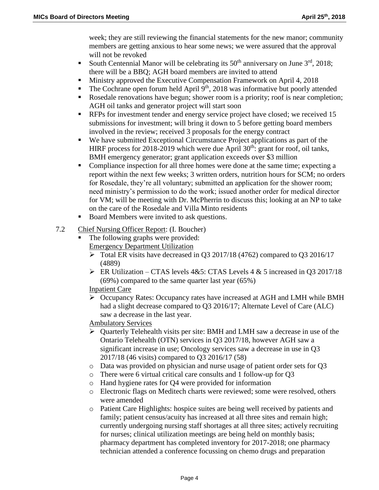week; they are still reviewing the financial statements for the new manor; community members are getting anxious to hear some news; we were assured that the approval will not be revoked

- South Centennial Manor will be celebrating its  $50<sup>th</sup>$  anniversary on June  $3<sup>rd</sup>$ , 2018; there will be a BBQ; AGH board members are invited to attend
- **Ministry approved the Executive Compensation Framework on April 4, 2018**
- The Cochrane open forum held April  $9<sup>th</sup>$ , 2018 was informative but poorly attended
- Rosedale renovations have begun; shower room is a priority; roof is near completion; AGH oil tanks and generator project will start soon
- **RFPs** for investment tender and energy service project have closed; we received 15 submissions for investment; will bring it down to 5 before getting board members involved in the review; received 3 proposals for the energy contract
- We have submitted Exceptional Circumstance Project applications as part of the HIRF process for 2018-2019 which were due April  $30<sup>th</sup>$ : grant for roof, oil tanks, BMH emergency generator; grant application exceeds over \$3 million
- Compliance inspection for all three homes were done at the same time; expecting a report within the next few weeks; 3 written orders, nutrition hours for SCM; no orders for Rosedale, they're all voluntary; submitted an application for the shower room; need ministry's permission to do the work; issued another order for medical director for VM; will be meeting with Dr. McPherrin to discuss this; looking at an NP to take on the care of the Rosedale and Villa Minto residents
- Board Members were invited to ask questions.
- 7.2 Chief Nursing Officer Report: (I. Boucher)
	- The following graphs were provided: Emergency Department Utilization
		- Total ER visits have decreased in Q3 2017/18 (4762) compared to Q3 2016/17 (4889)
		- ER Utilization CTAS levels  $4&5$ : CTAS Levels  $4&5$  increased in Q3 2017/18 (69%) compared to the same quarter last year (65%)

# Inpatient Care

- Occupancy Rates: Occupancy rates have increased at AGH and LMH while BMH had a slight decrease compared to Q3 2016/17; Alternate Level of Care (ALC) saw a decrease in the last year.
- Ambulatory Services
- $\triangleright$  Quarterly Telehealth visits per site: BMH and LMH saw a decrease in use of the Ontario Telehealth (OTN) services in Q3 2017/18, however AGH saw a significant increase in use; Oncology services saw a decrease in use in Q3 2017/18 (46 visits) compared to Q3 2016/17 (58)
- o Data was provided on physician and nurse usage of patient order sets for Q3
- o There were 6 virtual critical care consults and 1 follow-up for Q3
- o Hand hygiene rates for Q4 were provided for information
- o Electronic flags on Meditech charts were reviewed; some were resolved, others were amended
- o Patient Care Highlights: hospice suites are being well received by patients and family; patient census/acuity has increased at all three sites and remain high; currently undergoing nursing staff shortages at all three sites; actively recruiting for nurses; clinical utilization meetings are being held on monthly basis; pharmacy department has completed inventory for 2017-2018; one pharmacy technician attended a conference focussing on chemo drugs and preparation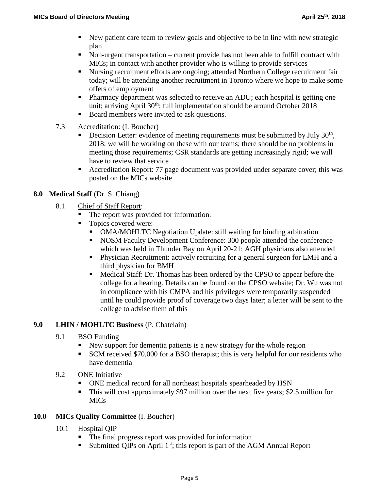- New patient care team to review goals and objective to be in line with new strategic plan
- Non-urgent transportation current provide has not been able to fulfill contract with MICs; in contact with another provider who is willing to provide services
- Nursing recruitment efforts are ongoing; attended Northern College recruitment fair today; will be attending another recruitment in Toronto where we hope to make some offers of employment
- Pharmacy department was selected to receive an ADU; each hospital is getting one unit; arriving April  $30<sup>th</sup>$ ; full implementation should be around October 2018
- Board members were invited to ask questions.
- 7.3 Accreditation: (I. Boucher)
	- Decision Letter: evidence of meeting requirements must be submitted by July  $30<sup>th</sup>$ , 2018; we will be working on these with our teams; there should be no problems in meeting those requirements; CSR standards are getting increasingly rigid; we will have to review that service
	- Accreditation Report: 77 page document was provided under separate cover; this was posted on the MICs website

# **8.0 Medical Staff** (Dr. S. Chiang)

- 8.1 Chief of Staff Report:
	- The report was provided for information.
	- Topics covered were:
		- OMA/MOHLTC Negotiation Update: still waiting for binding arbitration
		- NOSM Faculty Development Conference: 300 people attended the conference which was held in Thunder Bay on April 20-21; AGH physicians also attended
		- Physician Recruitment: actively recruiting for a general surgeon for LMH and a third physician for BMH
		- Medical Staff: Dr. Thomas has been ordered by the CPSO to appear before the college for a hearing. Details can be found on the CPSO website; Dr. Wu was not in compliance with his CMPA and his privileges were temporarily suspended until he could provide proof of coverage two days later; a letter will be sent to the college to advise them of this

# **9.0 LHIN / MOHLTC Business** (P. Chatelain)

- 9.1 BSO Funding
	- New support for dementia patients is a new strategy for the whole region
	- SCM received \$70,000 for a BSO therapist; this is very helpful for our residents who have dementia
- 9.2 ONE Initiative
	- ONE medical record for all northeast hospitals spearheaded by HSN
	- This will cost approximately \$97 million over the next five years; \$2.5 million for MICs

# **10.0 MICs Quality Committee** (I. Boucher)

- 10.1 Hospital QIP
	- The final progress report was provided for information
	- Submitted QIPs on April  $1<sup>st</sup>$ ; this report is part of the AGM Annual Report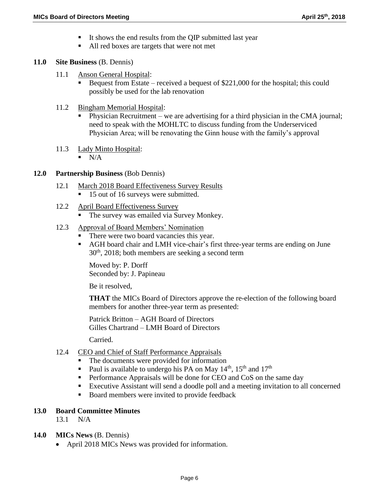- It shows the end results from the QIP submitted last year
- All red boxes are targets that were not met

#### **11.0 Site Business** (B. Dennis)

- 11.1 Anson General Hospital:
	- Bequest from Estate received a bequest of  $$221,000$  for the hospital; this could possibly be used for the lab renovation
- 11.2 Bingham Memorial Hospital:
	- Physician Recruitment we are advertising for a third physician in the CMA journal; need to speak with the MOHLTC to discuss funding from the Underserviced Physician Area; will be renovating the Ginn house with the family's approval
- 11.3 Lady Minto Hospital:
	- $N/A$

#### **12.0 Partnership Business** (Bob Dennis)

- 12.1 March 2018 Board Effectiveness Survey Results
	- 15 out of 16 surveys were submitted.
- 12.2 April Board Effectiveness Survey
	- The survey was emailed via Survey Monkey.
- 12.3 Approval of Board Members' Nomination
	- There were two board vacancies this year.
	- AGH board chair and LMH vice-chair's first three-year terms are ending on June  $30<sup>th</sup>$ , 2018; both members are seeking a second term

Moved by: P. Dorff Seconded by: J. Papineau

Be it resolved,

**THAT** the MICs Board of Directors approve the re-election of the following board members for another three-year term as presented:

Patrick Britton – AGH Board of Directors Gilles Chartrand – LMH Board of Directors

Carried.

### 12.4 CEO and Chief of Staff Performance Appraisals

- The documents were provided for information
- Paul is available to undergo his PA on May  $14<sup>th</sup>$ ,  $15<sup>th</sup>$  and  $17<sup>th</sup>$
- **Performance Appraisals will be done for CEO and CoS on the same day**
- Executive Assistant will send a doodle poll and a meeting invitation to all concerned
- Board members were invited to provide feedback

### **13.0 Board Committee Minutes**

13.1 N/A

#### **14.0 MICs News** (B. Dennis)

• April 2018 MICs News was provided for information.